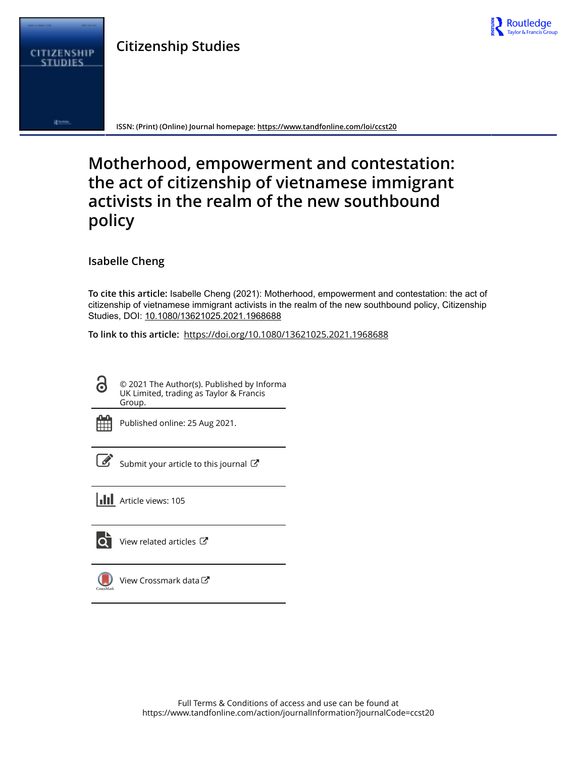

# **Citizenship Studies**



**ISSN: (Print) (Online) Journal homepage:<https://www.tandfonline.com/loi/ccst20>**

# **Motherhood, empowerment and contestation: the act of citizenship of vietnamese immigrant activists in the realm of the new southbound policy**

**Isabelle Cheng**

**To cite this article:** Isabelle Cheng (2021): Motherhood, empowerment and contestation: the act of citizenship of vietnamese immigrant activists in the realm of the new southbound policy, Citizenship Studies, DOI: [10.1080/13621025.2021.1968688](https://www.tandfonline.com/action/showCitFormats?doi=10.1080/13621025.2021.1968688)

**To link to this article:** <https://doi.org/10.1080/13621025.2021.1968688>

© 2021 The Author(s). Published by Informa UK Limited, trading as Taylor & Francis Group.



G

Published online: 25 Aug 2021.

|--|

[Submit your article to this journal](https://www.tandfonline.com/action/authorSubmission?journalCode=ccst20&show=instructions)  $\mathbb{Z}$ 

**III** Article views: 105

 $\overline{\mathbf{Q}}$  [View related articles](https://www.tandfonline.com/doi/mlt/10.1080/13621025.2021.1968688)  $\mathbf{C}$ 



 $\bigcirc$  [View Crossmark data](http://crossmark.crossref.org/dialog/?doi=10.1080/13621025.2021.1968688&domain=pdf&date_stamp=2021-08-25) $\mathbb{Z}$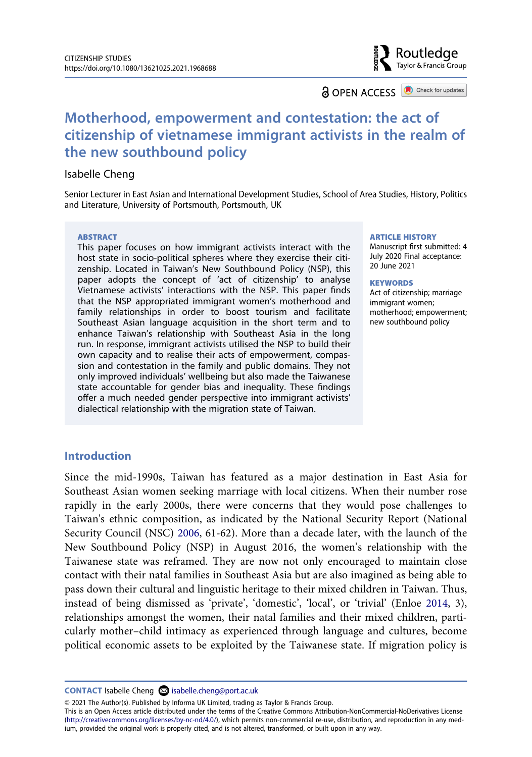Routledge Taylor & Francis Group

**a** OPEN ACCESS **a** Check for updates

## **Motherhood, empowerment and contestation: the act of citizenship of vietnamese immigrant activists in the realm of the new southbound policy**

#### Isabelle Cheng

Senior Lecturer in East Asian and International Development Studies, School of Area Studies, History, Politics and Literature, University of Portsmouth, Portsmouth, UK

#### **ABSTRACT**

This paper focuses on how immigrant activists interact with the host state in socio-political spheres where they exercise their citizenship. Located in Taiwan's New Southbound Policy (NSP), this paper adopts the concept of 'act of citizenship' to analyse Vietnamese activists' interactions with the NSP. This paper finds that the NSP appropriated immigrant women's motherhood and family relationships in order to boost tourism and facilitate Southeast Asian language acquisition in the short term and to enhance Taiwan's relationship with Southeast Asia in the long run. In response, immigrant activists utilised the NSP to build their own capacity and to realise their acts of empowerment, compassion and contestation in the family and public domains. They not only improved individuals' wellbeing but also made the Taiwanese state accountable for gender bias and inequality. These findings offer a much needed gender perspective into immigrant activists' dialectical relationship with the migration state of Taiwan.

#### **ARTICLE HISTORY**

Manuscript first submitted: 4 July 2020 Final acceptance: 20 June 2021

#### **KEYWORDS**

Act of citizenship; marriage immigrant women; motherhood; empowerment; new southbound policy

#### **Introduction**

<span id="page-1-1"></span>Since the mid-1990s, Taiwan has featured as a major destination in East Asia for Southeast Asian women seeking marriage with local citizens. When their number rose rapidly in the early 2000s, there were concerns that they would pose challenges to Taiwan's ethnic composition, as indicated by the National Security Report (National Security Council (NSC) [2006,](#page-16-0) 61-62). More than a decade later, with the launch of the New Southbound Policy (NSP) in August 2016, the women's relationship with the Taiwanese state was reframed. They are now not only encouraged to maintain close contact with their natal families in Southeast Asia but are also imagined as being able to pass down their cultural and linguistic heritage to their mixed children in Taiwan. Thus, instead of being dismissed as 'private', 'domestic', 'local', or 'trivial' (Enloe [2014](#page-15-0), 3), relationships amongst the women, their natal families and their mixed children, particularly mother–child intimacy as experienced through language and cultures, become political economic assets to be exploited by the Taiwanese state. If migration policy is

© 2021 The Author(s). Published by Informa UK Limited, trading as Taylor & Francis Group.

This is an Open Access article distributed under the terms of the Creative Commons Attribution-NonCommercial-NoDerivatives License (http://creativecommons.org/licenses/by-nc-nd/4.0/), which permits non-commercial re-use, distribution, and reproduction in any medium, provided the original work is properly cited, and is not altered, transformed, or built upon in any way.

<span id="page-1-0"></span>**CONTACT** Isabelle Cheng **isabelle.cheng@port.ac.uk**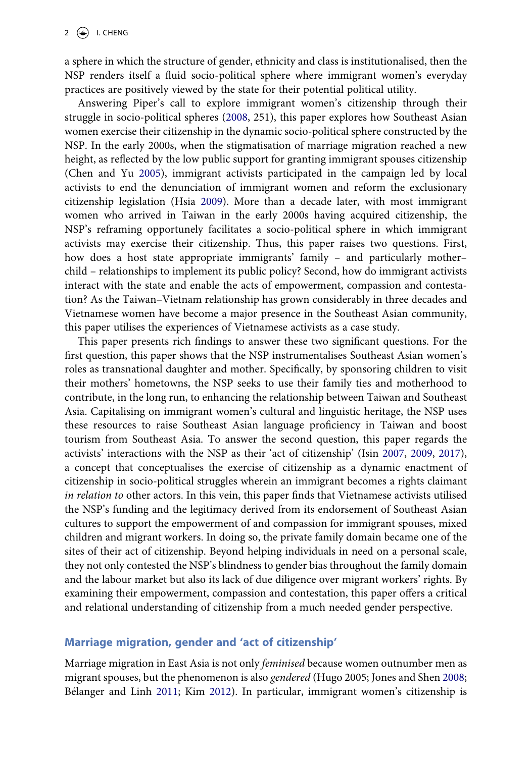a sphere in which the structure of gender, ethnicity and class is institutionalised, then the NSP renders itself a fluid socio-political sphere where immigrant women's everyday practices are positively viewed by the state for their potential political utility.

<span id="page-2-5"></span><span id="page-2-2"></span><span id="page-2-1"></span>Answering Piper's call to explore immigrant women's citizenship through their struggle in socio-political spheres ([2008,](#page-17-0) 251), this paper explores how Southeast Asian women exercise their citizenship in the dynamic socio-political sphere constructed by the NSP. In the early 2000s, when the stigmatisation of marriage migration reached a new height, as reflected by the low public support for granting immigrant spouses citizenship (Chen and Yu [2005](#page-14-0)), immigrant activists participated in the campaign led by local activists to end the denunciation of immigrant women and reform the exclusionary citizenship legislation (Hsia [2009](#page-15-1)). More than a decade later, with most immigrant women who arrived in Taiwan in the early 2000s having acquired citizenship, the NSP's reframing opportunely facilitates a socio-political sphere in which immigrant activists may exercise their citizenship. Thus, this paper raises two questions. First, how does a host state appropriate immigrants' family – and particularly mother– child – relationships to implement its public policy? Second, how do immigrant activists interact with the state and enable the acts of empowerment, compassion and contestation? As the Taiwan–Vietnam relationship has grown considerably in three decades and Vietnamese women have become a major presence in the Southeast Asian community, this paper utilises the experiences of Vietnamese activists as a case study.

<span id="page-2-3"></span>This paper presents rich findings to answer these two significant questions. For the first question, this paper shows that the NSP instrumentalises Southeast Asian women's roles as transnational daughter and mother. Specifically, by sponsoring children to visit their mothers' hometowns, the NSP seeks to use their family ties and motherhood to contribute, in the long run, to enhancing the relationship between Taiwan and Southeast Asia. Capitalising on immigrant women's cultural and linguistic heritage, the NSP uses these resources to raise Southeast Asian language proficiency in Taiwan and boost tourism from Southeast Asia. To answer the second question, this paper regards the activists' interactions with the NSP as their 'act of citizenship' (Isin [2007,](#page-15-2) [2009](#page-15-3), [2017](#page-15-4)), a concept that conceptualises the exercise of citizenship as a dynamic enactment of citizenship in socio-political struggles wherein an immigrant becomes a rights claimant *in relation to* other actors. In this vein, this paper finds that Vietnamese activists utilised the NSP's funding and the legitimacy derived from its endorsement of Southeast Asian cultures to support the empowerment of and compassion for immigrant spouses, mixed children and migrant workers. In doing so, the private family domain became one of the sites of their act of citizenship. Beyond helping individuals in need on a personal scale, they not only contested the NSP's blindness to gender bias throughout the family domain and the labour market but also its lack of due diligence over migrant workers' rights. By examining their empowerment, compassion and contestation, this paper offers a critical and relational understanding of citizenship from a much needed gender perspective.

#### **Marriage migration, gender and 'act of citizenship'**

<span id="page-2-4"></span><span id="page-2-0"></span>Marriage migration in East Asia is not only *feminised* because women outnumber men as migrant spouses, but the phenomenon is also *gendered* (Hugo 2005; Jones and Shen [2008;](#page-15-5) Bélanger and Linh [2011](#page-14-1); Kim [2012](#page-15-6)). In particular, immigrant women's citizenship is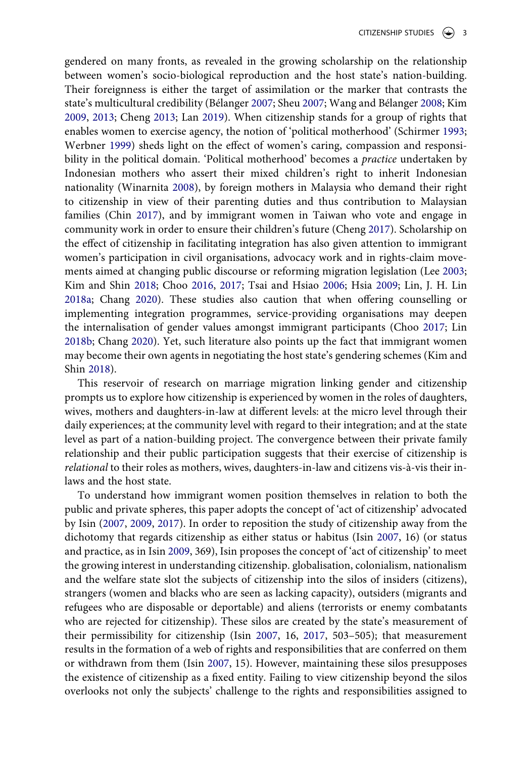<span id="page-3-11"></span><span id="page-3-10"></span><span id="page-3-9"></span><span id="page-3-4"></span><span id="page-3-2"></span><span id="page-3-0"></span>gendered on many fronts, as revealed in the growing scholarship on the relationship between women's socio-biological reproduction and the host state's nation-building. Their foreignness is either the target of assimilation or the marker that contrasts the state's multicultural credibility (Bélanger [2007](#page-13-0); Sheu [2007;](#page-17-1) Wang and Bélanger [2008](#page-17-2); Kim [2009](#page-15-7), [2013;](#page-15-8) Cheng [2013;](#page-14-2) Lan [2019\)](#page-16-1). When citizenship stands for a group of rights that enables women to exercise agency, the notion of 'political motherhood' (Schirmer [1993;](#page-17-3) Werbner [1999\)](#page-17-4) sheds light on the effect of women's caring, compassion and responsibility in the political domain. 'Political motherhood' becomes a *practice* undertaken by Indonesian mothers who assert their mixed children's right to inherit Indonesian nationality (Winarnita [2008](#page-17-5)), by foreign mothers in Malaysia who demand their right to citizenship in view of their parenting duties and thus contribution to Malaysian families (Chin [2017\)](#page-14-3), and by immigrant women in Taiwan who vote and engage in community work in order to ensure their children's future (Cheng [2017\)](#page-14-4). Scholarship on the effect of citizenship in facilitating integration has also given attention to immigrant women's participation in civil organisations, advocacy work and in rights-claim movements aimed at changing public discourse or reforming migration legislation (Lee [2003;](#page-16-2) Kim and Shin [2018;](#page-15-9) Choo [2016,](#page-14-5) [2017](#page-14-6); Tsai and Hsiao [2006;](#page-17-6) Hsia [2009;](#page-15-1) Lin, J. H. Lin [2018a;](#page-16-3) Chang [2020\)](#page-14-7). These studies also caution that when offering counselling or implementing integration programmes, service-providing organisations may deepen the internalisation of gender values amongst immigrant participants (Choo [2017;](#page-14-6) Lin [2018b](#page-16-4); Chang [2020](#page-14-7)). Yet, such literature also points up the fact that immigrant women may become their own agents in negotiating the host state's gendering schemes (Kim and Shin [2018](#page-15-9)).

<span id="page-3-8"></span><span id="page-3-7"></span><span id="page-3-6"></span><span id="page-3-5"></span><span id="page-3-3"></span><span id="page-3-1"></span>This reservoir of research on marriage migration linking gender and citizenship prompts us to explore how citizenship is experienced by women in the roles of daughters, wives, mothers and daughters-in-law at different levels: at the micro level through their daily experiences; at the community level with regard to their integration; and at the state level as part of a nation-building project. The convergence between their private family relationship and their public participation suggests that their exercise of citizenship is *relational* to their roles as mothers, wives, daughters-in-law and citizens vis-à-vis their inlaws and the host state.

To understand how immigrant women position themselves in relation to both the public and private spheres, this paper adopts the concept of 'act of citizenship' advocated by Isin [\(2007,](#page-15-2) [2009,](#page-15-3) [2017](#page-15-4)). In order to reposition the study of citizenship away from the dichotomy that regards citizenship as either status or habitus (Isin [2007,](#page-15-2) 16) (or status and practice, as in Isin [2009](#page-15-3), 369), Isin proposes the concept of 'act of citizenship' to meet the growing interest in understanding citizenship. globalisation, colonialism, nationalism and the welfare state slot the subjects of citizenship into the silos of insiders (citizens), strangers (women and blacks who are seen as lacking capacity), outsiders (migrants and refugees who are disposable or deportable) and aliens (terrorists or enemy combatants who are rejected for citizenship). These silos are created by the state's measurement of their permissibility for citizenship (Isin [2007,](#page-15-2) 16, [2017,](#page-15-4) 503–505); that measurement results in the formation of a web of rights and responsibilities that are conferred on them or withdrawn from them (Isin [2007,](#page-15-2) 15). However, maintaining these silos presupposes the existence of citizenship as a fixed entity. Failing to view citizenship beyond the silos overlooks not only the subjects' challenge to the rights and responsibilities assigned to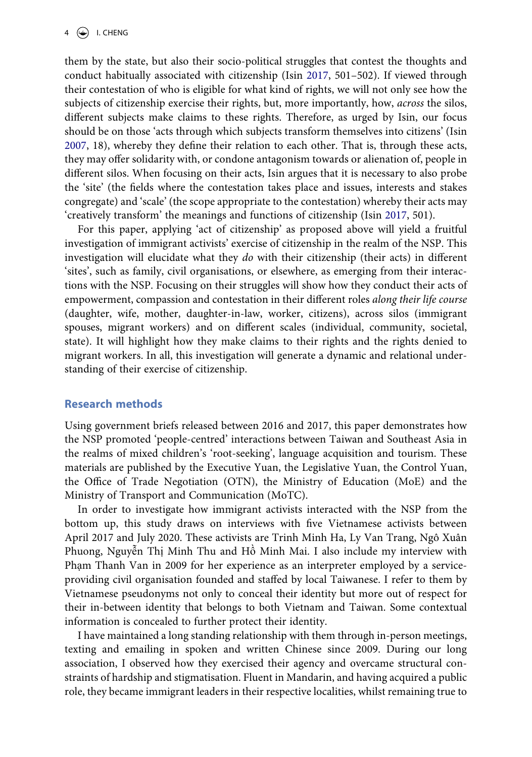them by the state, but also their socio-political struggles that contest the thoughts and conduct habitually associated with citizenship (Isin [2017,](#page-15-4) 501–502). If viewed through their contestation of who is eligible for what kind of rights, we will not only see how the subjects of citizenship exercise their rights, but, more importantly, how, *across* the silos, different subjects make claims to these rights. Therefore, as urged by Isin, our focus should be on those 'acts through which subjects transform themselves into citizens' (Isin [2007](#page-15-2), 18), whereby they define their relation to each other. That is, through these acts, they may offer solidarity with, or condone antagonism towards or alienation of, people in different silos. When focusing on their acts, Isin argues that it is necessary to also probe the 'site' (the fields where the contestation takes place and issues, interests and stakes congregate) and 'scale' (the scope appropriate to the contestation) whereby their acts may 'creatively transform' the meanings and functions of citizenship (Isin [2017](#page-15-4), 501).

For this paper, applying 'act of citizenship' as proposed above will yield a fruitful investigation of immigrant activists' exercise of citizenship in the realm of the NSP. This investigation will elucidate what they *do* with their citizenship (their acts) in different 'sites', such as family, civil organisations, or elsewhere, as emerging from their interactions with the NSP. Focusing on their struggles will show how they conduct their acts of empowerment, compassion and contestation in their different roles *along their life course*  (daughter, wife, mother, daughter-in-law, worker, citizens), across silos (immigrant spouses, migrant workers) and on different scales (individual, community, societal, state). It will highlight how they make claims to their rights and the rights denied to migrant workers. In all, this investigation will generate a dynamic and relational understanding of their exercise of citizenship.

#### **Research methods**

Using government briefs released between 2016 and 2017, this paper demonstrates how the NSP promoted 'people-centred' interactions between Taiwan and Southeast Asia in the realms of mixed children's 'root-seeking', language acquisition and tourism. These materials are published by the Executive Yuan, the Legislative Yuan, the Control Yuan, the Office of Trade Negotiation (OTN), the Ministry of Education (MoE) and the Ministry of Transport and Communication (MoTC).

In order to investigate how immigrant activists interacted with the NSP from the bottom up, this study draws on interviews with five Vietnamese activists between April 2017 and July 2020. These activists are Trinh Minh Ha, Ly Van Trang, Ngô Xuân Phuong, Nguyễn Thị Minh Thu and Hồ Minh Mai. I also include my interview with Phạm Thanh Van in 2009 for her experience as an interpreter employed by a serviceproviding civil organisation founded and staffed by local Taiwanese. I refer to them by Vietnamese pseudonyms not only to conceal their identity but more out of respect for their in-between identity that belongs to both Vietnam and Taiwan. Some contextual information is concealed to further protect their identity.

I have maintained a long standing relationship with them through in-person meetings, texting and emailing in spoken and written Chinese since 2009. During our long association, I observed how they exercised their agency and overcame structural constraints of hardship and stigmatisation. Fluent in Mandarin, and having acquired a public role, they became immigrant leaders in their respective localities, whilst remaining true to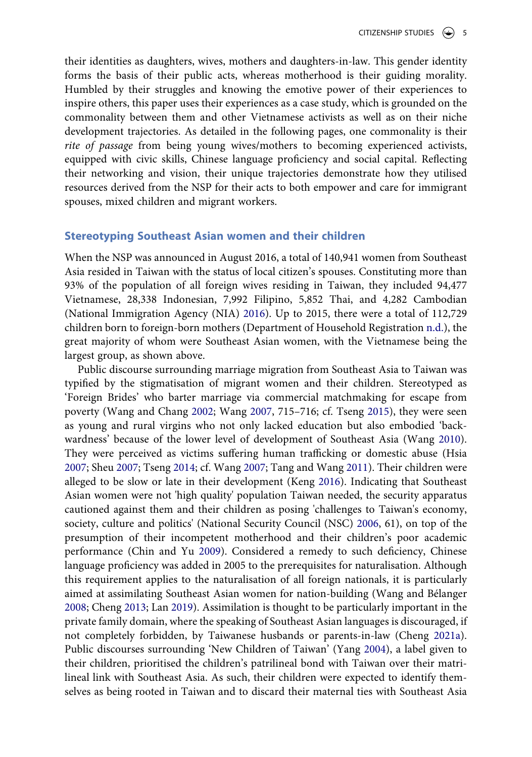their identities as daughters, wives, mothers and daughters-in-law. This gender identity forms the basis of their public acts, whereas motherhood is their guiding morality. Humbled by their struggles and knowing the emotive power of their experiences to inspire others, this paper uses their experiences as a case study, which is grounded on the commonality between them and other Vietnamese activists as well as on their niche development trajectories. As detailed in the following pages, one commonality is their *rite of passage* from being young wives/mothers to becoming experienced activists, equipped with civic skills, Chinese language proficiency and social capital. Reflecting their networking and vision, their unique trajectories demonstrate how they utilised resources derived from the NSP for their acts to both empower and care for immigrant spouses, mixed children and migrant workers.

#### **Stereotyping Southeast Asian women and their children**

<span id="page-5-5"></span>When the NSP was announced in August 2016, a total of 140,941 women from Southeast Asia resided in Taiwan with the status of local citizen's spouses. Constituting more than 93% of the population of all foreign wives residing in Taiwan, they included 94,477 Vietnamese, 28,338 Indonesian, 7,992 Filipino, 5,852 Thai, and 4,282 Cambodian (National Immigration Agency (NIA) [2016\)](#page-16-5). Up to 2015, there were a total of 112,729 children born to foreign-born mothers (Department of Household Registration [n.d.\)](#page-15-10), the great majority of whom were Southeast Asian women, with the Vietnamese being the largest group, as shown above.

<span id="page-5-9"></span><span id="page-5-8"></span><span id="page-5-7"></span><span id="page-5-6"></span><span id="page-5-4"></span><span id="page-5-3"></span><span id="page-5-2"></span><span id="page-5-1"></span><span id="page-5-0"></span>Public discourse surrounding marriage migration from Southeast Asia to Taiwan was typified by the stigmatisation of migrant women and their children. Stereotyped as 'Foreign Brides' who barter marriage via commercial matchmaking for escape from poverty (Wang and Chang [2002;](#page-17-7) Wang [2007](#page-17-8), 715–716; cf. Tseng [2015\)](#page-17-9), they were seen as young and rural virgins who not only lacked education but also embodied 'backwardness' because of the lower level of development of Southeast Asia (Wang [2010](#page-17-10)). They were perceived as victims suffering human trafficking or domestic abuse (Hsia [2007](#page-15-11); Sheu [2007](#page-17-1); Tseng [2014;](#page-17-11) cf. Wang [2007](#page-17-8); Tang and Wang [2011](#page-17-12)). Their children were alleged to be slow or late in their development (Keng [2016\)](#page-15-12). Indicating that Southeast Asian women were not 'high quality' population Taiwan needed, the security apparatus cautioned against them and their children as posing 'challenges to Taiwan's economy, society, culture and politics' (National Security Council (NSC) [2006](#page-16-0), 61), on top of the presumption of their incompetent motherhood and their children's poor academic performance (Chin and Yu [2009\)](#page-14-8). Considered a remedy to such deficiency, Chinese language proficiency was added in 2005 to the prerequisites for naturalisation. Although this requirement applies to the naturalisation of all foreign nationals, it is particularly aimed at assimilating Southeast Asian women for nation-building (Wang and Bélanger [2008](#page-17-2); Cheng [2013](#page-14-2); Lan [2019](#page-16-1)). Assimilation is thought to be particularly important in the private family domain, where the speaking of Southeast Asian languages is discouraged, if not completely forbidden, by Taiwanese husbands or parents-in-law (Cheng [2021a](#page-14-9)). Public discourses surrounding 'New Children of Taiwan' (Yang [2004\)](#page-17-13), a label given to their children, prioritised the children's patrilineal bond with Taiwan over their matrilineal link with Southeast Asia. As such, their children were expected to identify themselves as being rooted in Taiwan and to discard their maternal ties with Southeast Asia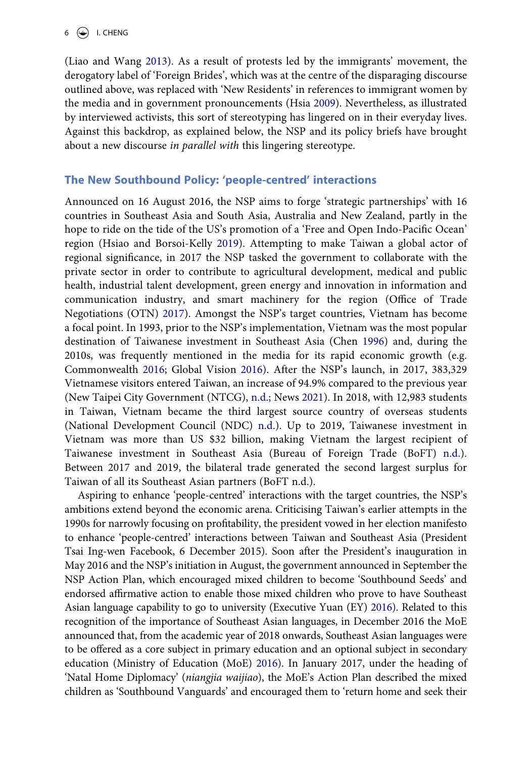<span id="page-6-5"></span>(Liao and Wang [2013](#page-16-6)). As a result of protests led by the immigrants' movement, the derogatory label of 'Foreign Brides', which was at the centre of the disparaging discourse outlined above, was replaced with 'New Residents' in references to immigrant women by the media and in government pronouncements (Hsia [2009](#page-15-1)). Nevertheless, as illustrated by interviewed activists, this sort of stereotyping has lingered on in their everyday lives. Against this backdrop, as explained below, the NSP and its policy briefs have brought about a new discourse *in parallel with* this lingering stereotype.

### **The New Southbound Policy: 'people-centred' interactions**

<span id="page-6-9"></span><span id="page-6-4"></span><span id="page-6-1"></span>Announced on 16 August 2016, the NSP aims to forge 'strategic partnerships' with 16 countries in Southeast Asia and South Asia, Australia and New Zealand, partly in the hope to ride on the tide of the US's promotion of a 'Free and Open Indo-Pacific Ocean' region (Hsiao and Borsoi-Kelly [2019](#page-15-13)). Attempting to make Taiwan a global actor of regional significance, in 2017 the NSP tasked the government to collaborate with the private sector in order to contribute to agricultural development, medical and public health, industrial talent development, green energy and innovation in information and communication industry, and smart machinery for the region (Office of Trade Negotiations (OTN) [2017](#page-16-7)). Amongst the NSP's target countries, Vietnam has become a focal point. In 1993, prior to the NSP's implementation, Vietnam was the most popular destination of Taiwanese investment in Southeast Asia (Chen [1996](#page-14-10)) and, during the 2010s, was frequently mentioned in the media for its rapid economic growth (e.g. Commonwealth [2016;](#page-15-14) Global Vision [2016\)](#page-15-15). After the NSP's launch, in 2017, 383,329 Vietnamese visitors entered Taiwan, an increase of 94.9% compared to the previous year (New Taipei City Government (NTCG), [n.d.](#page-16-8); News [2021](#page-17-14)). In 2018, with 12,983 students in Taiwan, Vietnam became the third largest source country of overseas students (National Development Council (NDC) [n.d.](#page-16-9)). Up to 2019, Taiwanese investment in Vietnam was more than US \$32 billion, making Vietnam the largest recipient of Taiwanese investment in Southeast Asia (Bureau of Foreign Trade (BoFT) [n.d.](#page-14-11)). Between 2017 and 2019, the bilateral trade generated the second largest surplus for Taiwan of all its Southeast Asian partners (BoFT n.d.).

<span id="page-6-8"></span><span id="page-6-7"></span><span id="page-6-6"></span><span id="page-6-3"></span><span id="page-6-2"></span><span id="page-6-0"></span>Aspiring to enhance 'people-centred' interactions with the target countries, the NSP's ambitions extend beyond the economic arena. Criticising Taiwan's earlier attempts in the 1990s for narrowly focusing on profitability, the president vowed in her election manifesto to enhance 'people-centred' interactions between Taiwan and Southeast Asia (President Tsai Ing-wen Facebook, 6 December 2015). Soon after the President's inauguration in May 2016 and the NSP's initiation in August, the government announced in September the NSP Action Plan, which encouraged mixed children to become 'Southbound Seeds' and endorsed affirmative action to enable those mixed children who prove to have Southeast Asian language capability to go to university (Executive Yuan (EY) [2016\)](#page-15-16). Related to this recognition of the importance of Southeast Asian languages, in December 2016 the MoE announced that, from the academic year of 2018 onwards, Southeast Asian languages were to be offered as a core subject in primary education and an optional subject in secondary education (Ministry of Education (MoE) [2016\)](#page-16-10). In January 2017, under the heading of 'Natal Home Diplomacy' (*niangjia waijiao*), the MoE's Action Plan described the mixed children as 'Southbound Vanguards' and encouraged them to 'return home and seek their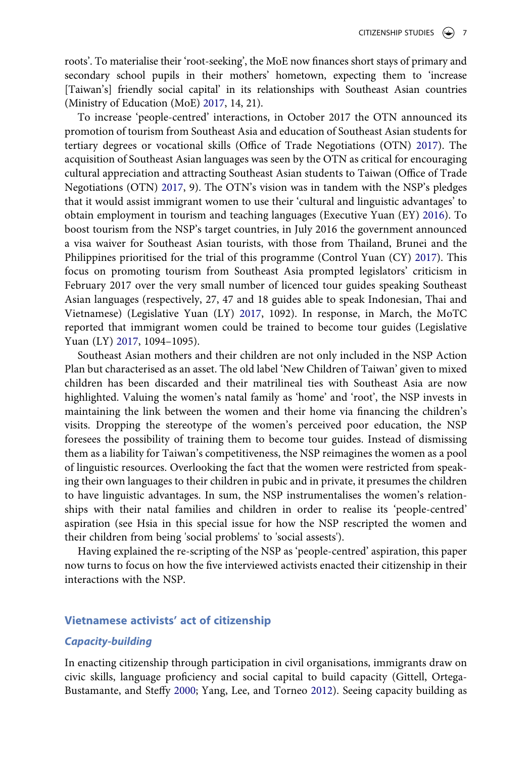roots'. To materialise their 'root-seeking', the MoE now finances short stays of primary and secondary school pupils in their mothers' hometown, expecting them to 'increase [Taiwan's] friendly social capital' in its relationships with Southeast Asian countries (Ministry of Education (MoE) [2017](#page-16-11), 14, 21).

<span id="page-7-3"></span>To increase 'people-centred' interactions, in October 2017 the OTN announced its promotion of tourism from Southeast Asia and education of Southeast Asian students for tertiary degrees or vocational skills (Office of Trade Negotiations (OTN) [2017](#page-16-7)). The acquisition of Southeast Asian languages was seen by the OTN as critical for encouraging cultural appreciation and attracting Southeast Asian students to Taiwan (Office of Trade Negotiations (OTN) [2017,](#page-16-7) 9). The OTN's vision was in tandem with the NSP's pledges that it would assist immigrant women to use their 'cultural and linguistic advantages' to obtain employment in tourism and teaching languages (Executive Yuan (EY) [2016](#page-15-16)). To boost tourism from the NSP's target countries, in July 2016 the government announced a visa waiver for Southeast Asian tourists, with those from Thailand, Brunei and the Philippines prioritised for the trial of this programme (Control Yuan (CY) [2017](#page-15-17)). This focus on promoting tourism from Southeast Asia prompted legislators' criticism in February 2017 over the very small number of licenced tour guides speaking Southeast Asian languages (respectively, 27, 47 and 18 guides able to speak Indonesian, Thai and Vietnamese) (Legislative Yuan (LY) [2017](#page-16-12), 1092). In response, in March, the MoTC reported that immigrant women could be trained to become tour guides (Legislative Yuan (LY) [2017](#page-16-12), 1094–1095).

<span id="page-7-2"></span><span id="page-7-0"></span>Southeast Asian mothers and their children are not only included in the NSP Action Plan but characterised as an asset. The old label 'New Children of Taiwan' given to mixed children has been discarded and their matrilineal ties with Southeast Asia are now highlighted. Valuing the women's natal family as 'home' and 'root', the NSP invests in maintaining the link between the women and their home via financing the children's visits. Dropping the stereotype of the women's perceived poor education, the NSP foresees the possibility of training them to become tour guides. Instead of dismissing them as a liability for Taiwan's competitiveness, the NSP reimagines the women as a pool of linguistic resources. Overlooking the fact that the women were restricted from speaking their own languages to their children in pubic and in private, it presumes the children to have linguistic advantages. In sum, the NSP instrumentalises the women's relationships with their natal families and children in order to realise its 'people-centred' aspiration (see Hsia in this special issue for how the NSP rescripted the women and their children from being 'social problems' to 'social assests').

Having explained the re-scripting of the NSP as 'people-centred' aspiration, this paper now turns to focus on how the five interviewed activists enacted their citizenship in their interactions with the NSP.

#### **Vietnamese activists' act of citizenship**

#### *Capacity-building*

<span id="page-7-1"></span>In enacting citizenship through participation in civil organisations, immigrants draw on civic skills, language proficiency and social capital to build capacity (Gittell, Ortega-Bustamante, and Steffy [2000](#page-15-18); Yang, Lee, and Torneo [2012\)](#page-18-0). Seeing capacity building as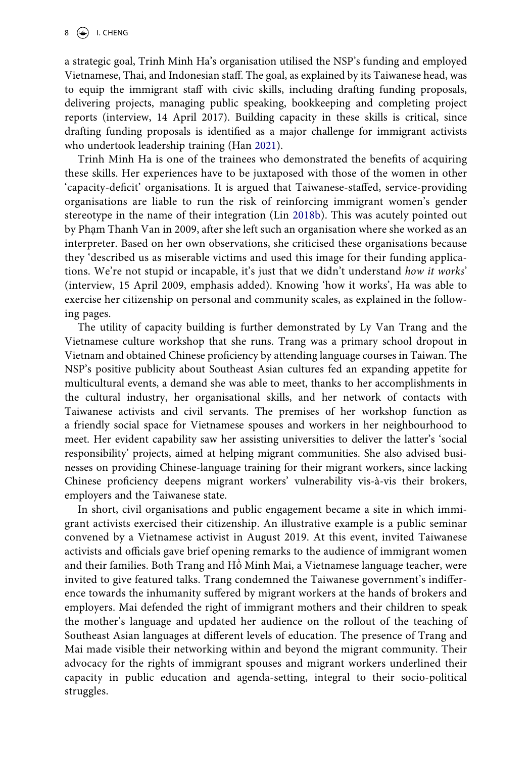a strategic goal, Trinh Minh Ha's organisation utilised the NSP's funding and employed Vietnamese, Thai, and Indonesian staff. The goal, as explained by its Taiwanese head, was to equip the immigrant staff with civic skills, including drafting funding proposals, delivering projects, managing public speaking, bookkeeping and completing project reports (interview, 14 April 2017). Building capacity in these skills is critical, since drafting funding proposals is identified as a major challenge for immigrant activists who undertook leadership training (Han [2021\)](#page-15-19).

<span id="page-8-0"></span>Trinh Minh Ha is one of the trainees who demonstrated the benefits of acquiring these skills. Her experiences have to be juxtaposed with those of the women in other 'capacity-deficit' organisations. It is argued that Taiwanese-staffed, service-providing organisations are liable to run the risk of reinforcing immigrant women's gender stereotype in the name of their integration (Lin [2018b\)](#page-16-4). This was acutely pointed out by Phạm Thanh Van in 2009, after she left such an organisation where she worked as an interpreter. Based on her own observations, she criticised these organisations because they 'described us as miserable victims and used this image for their funding applications. We're not stupid or incapable, it's just that we didn't understand *how it works*' (interview, 15 April 2009, emphasis added). Knowing 'how it works', Ha was able to exercise her citizenship on personal and community scales, as explained in the following pages.

The utility of capacity building is further demonstrated by Ly Van Trang and the Vietnamese culture workshop that she runs. Trang was a primary school dropout in Vietnam and obtained Chinese proficiency by attending language courses in Taiwan. The NSP's positive publicity about Southeast Asian cultures fed an expanding appetite for multicultural events, a demand she was able to meet, thanks to her accomplishments in the cultural industry, her organisational skills, and her network of contacts with Taiwanese activists and civil servants. The premises of her workshop function as a friendly social space for Vietnamese spouses and workers in her neighbourhood to meet. Her evident capability saw her assisting universities to deliver the latter's 'social responsibility' projects, aimed at helping migrant communities. She also advised businesses on providing Chinese-language training for their migrant workers, since lacking Chinese proficiency deepens migrant workers' vulnerability vis-à-vis their brokers, employers and the Taiwanese state.

In short, civil organisations and public engagement became a site in which immigrant activists exercised their citizenship. An illustrative example is a public seminar convened by a Vietnamese activist in August 2019. At this event, invited Taiwanese activists and officials gave brief opening remarks to the audience of immigrant women and their families. Both Trang and Hồ Minh Mai, a Vietnamese language teacher, were invited to give featured talks. Trang condemned the Taiwanese government's indifference towards the inhumanity suffered by migrant workers at the hands of brokers and employers. Mai defended the right of immigrant mothers and their children to speak the mother's language and updated her audience on the rollout of the teaching of Southeast Asian languages at different levels of education. The presence of Trang and Mai made visible their networking within and beyond the migrant community. Their advocacy for the rights of immigrant spouses and migrant workers underlined their capacity in public education and agenda-setting, integral to their socio-political struggles.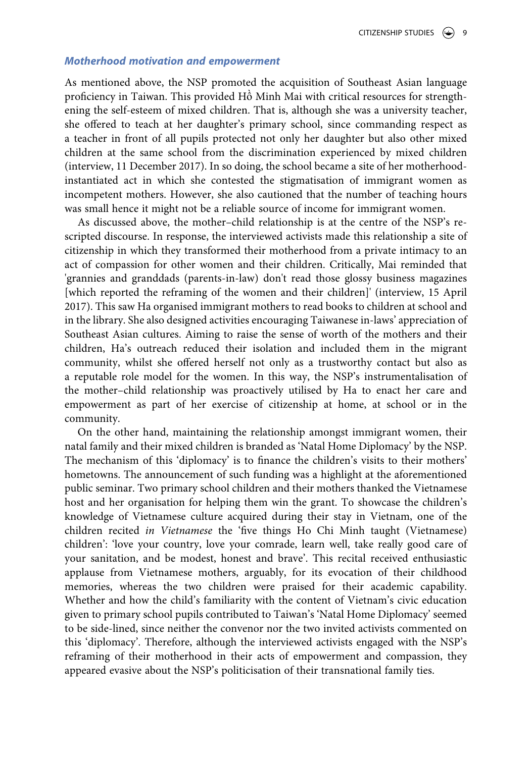#### *Motherhood motivation and empowerment*

As mentioned above, the NSP promoted the acquisition of Southeast Asian language proficiency in Taiwan. This provided Hồ Minh Mai with critical resources for strengthening the self-esteem of mixed children. That is, although she was a university teacher, she offered to teach at her daughter's primary school, since commanding respect as a teacher in front of all pupils protected not only her daughter but also other mixed children at the same school from the discrimination experienced by mixed children (interview, 11 December 2017). In so doing, the school became a site of her motherhoodinstantiated act in which she contested the stigmatisation of immigrant women as incompetent mothers. However, she also cautioned that the number of teaching hours was small hence it might not be a reliable source of income for immigrant women.

As discussed above, the mother–child relationship is at the centre of the NSP's rescripted discourse. In response, the interviewed activists made this relationship a site of citizenship in which they transformed their motherhood from a private intimacy to an act of compassion for other women and their children. Critically, Mai reminded that 'grannies and granddads (parents-in-law) don't read those glossy business magazines [which reported the reframing of the women and their children]' (interview, 15 April 2017). This saw Ha organised immigrant mothers to read books to children at school and in the library. She also designed activities encouraging Taiwanese in-laws' appreciation of Southeast Asian cultures. Aiming to raise the sense of worth of the mothers and their children, Ha's outreach reduced their isolation and included them in the migrant community, whilst she offered herself not only as a trustworthy contact but also as a reputable role model for the women. In this way, the NSP's instrumentalisation of the mother–child relationship was proactively utilised by Ha to enact her care and empowerment as part of her exercise of citizenship at home, at school or in the community.

On the other hand, maintaining the relationship amongst immigrant women, their natal family and their mixed children is branded as 'Natal Home Diplomacy' by the NSP. The mechanism of this 'diplomacy' is to finance the children's visits to their mothers' hometowns. The announcement of such funding was a highlight at the aforementioned public seminar. Two primary school children and their mothers thanked the Vietnamese host and her organisation for helping them win the grant. To showcase the children's knowledge of Vietnamese culture acquired during their stay in Vietnam, one of the children recited *in Vietnamese* the 'five things Ho Chi Minh taught (Vietnamese) children': 'love your country, love your comrade, learn well, take really good care of your sanitation, and be modest, honest and brave'. This recital received enthusiastic applause from Vietnamese mothers, arguably, for its evocation of their childhood memories, whereas the two children were praised for their academic capability. Whether and how the child's familiarity with the content of Vietnam's civic education given to primary school pupils contributed to Taiwan's 'Natal Home Diplomacy' seemed to be side-lined, since neither the convenor nor the two invited activists commented on this 'diplomacy'. Therefore, although the interviewed activists engaged with the NSP's reframing of their motherhood in their acts of empowerment and compassion, they appeared evasive about the NSP's politicisation of their transnational family ties.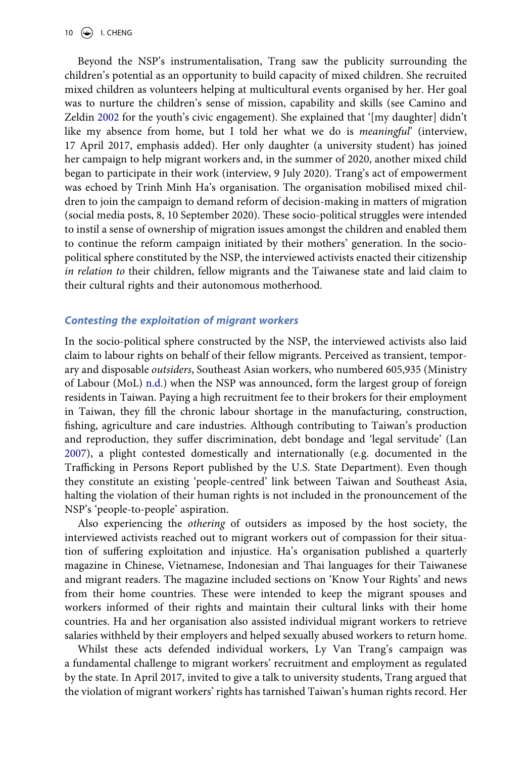<span id="page-10-0"></span>Beyond the NSP's instrumentalisation, Trang saw the publicity surrounding the children's potential as an opportunity to build capacity of mixed children. She recruited mixed children as volunteers helping at multicultural events organised by her. Her goal was to nurture the children's sense of mission, capability and skills (see Camino and Zeldin [2002](#page-14-12) for the youth's civic engagement). She explained that '[my daughter] didn't like my absence from home, but I told her what we do is *meaningful*' (interview, 17 April 2017, emphasis added). Her only daughter (a university student) has joined her campaign to help migrant workers and, in the summer of 2020, another mixed child began to participate in their work (interview, 9 July 2020). Trang's act of empowerment was echoed by Trinh Minh Ha's organisation. The organisation mobilised mixed children to join the campaign to demand reform of decision-making in matters of migration (social media posts, 8, 10 September 2020). These socio-political struggles were intended to instil a sense of ownership of migration issues amongst the children and enabled them to continue the reform campaign initiated by their mothers' generation. In the sociopolitical sphere constituted by the NSP, the interviewed activists enacted their citizenship *in relation to* their children, fellow migrants and the Taiwanese state and laid claim to their cultural rights and their autonomous motherhood.

#### *Contesting the exploitation of migrant workers*

<span id="page-10-2"></span>In the socio-political sphere constructed by the NSP, the interviewed activists also laid claim to labour rights on behalf of their fellow migrants. Perceived as transient, temporary and disposable *outsiders*, Southeast Asian workers, who numbered 605,935 (Ministry of Labour (MoL) [n.d.](#page-16-13)) when the NSP was announced, form the largest group of foreign residents in Taiwan. Paying a high recruitment fee to their brokers for their employment in Taiwan, they fill the chronic labour shortage in the manufacturing, construction, fishing, agriculture and care industries. Although contributing to Taiwan's production and reproduction, they suffer discrimination, debt bondage and 'legal servitude' (Lan [2007](#page-16-14)), a plight contested domestically and internationally (e.g. documented in the Trafficking in Persons Report published by the U.S. State Department). Even though they constitute an existing 'people-centred' link between Taiwan and Southeast Asia, halting the violation of their human rights is not included in the pronouncement of the NSP's 'people-to-people' aspiration.

<span id="page-10-1"></span>Also experiencing the *othering* of outsiders as imposed by the host society, the interviewed activists reached out to migrant workers out of compassion for their situation of suffering exploitation and injustice. Ha's organisation published a quarterly magazine in Chinese, Vietnamese, Indonesian and Thai languages for their Taiwanese and migrant readers. The magazine included sections on 'Know Your Rights' and news from their home countries. These were intended to keep the migrant spouses and workers informed of their rights and maintain their cultural links with their home countries. Ha and her organisation also assisted individual migrant workers to retrieve salaries withheld by their employers and helped sexually abused workers to return home.

Whilst these acts defended individual workers, Ly Van Trang's campaign was a fundamental challenge to migrant workers' recruitment and employment as regulated by the state. In April 2017, invited to give a talk to university students, Trang argued that the violation of migrant workers' rights has tarnished Taiwan's human rights record. Her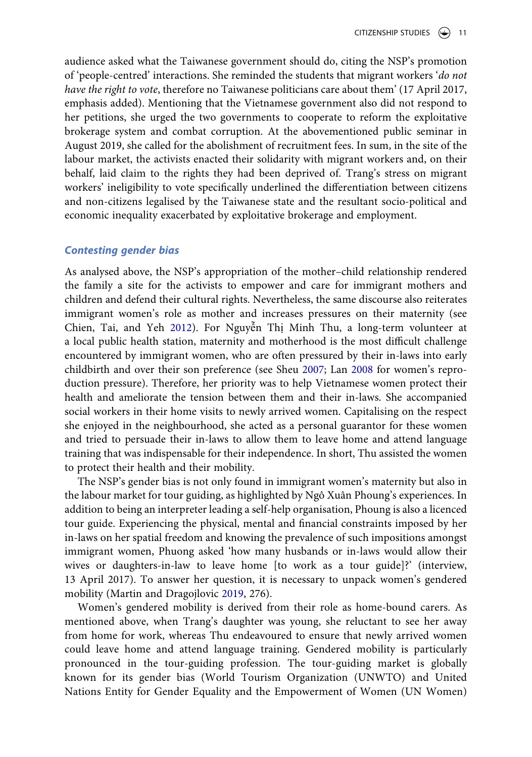audience asked what the Taiwanese government should do, citing the NSP's promotion of 'people-centred' interactions. She reminded the students that migrant workers '*do not have the right to vote*, therefore no Taiwanese politicians care about them' (17 April 2017, emphasis added). Mentioning that the Vietnamese government also did not respond to her petitions, she urged the two governments to cooperate to reform the exploitative brokerage system and combat corruption. At the abovementioned public seminar in August 2019, she called for the abolishment of recruitment fees. In sum, in the site of the labour market, the activists enacted their solidarity with migrant workers and, on their behalf, laid claim to the rights they had been deprived of. Trang's stress on migrant workers' ineligibility to vote specifically underlined the differentiation between citizens and non-citizens legalised by the Taiwanese state and the resultant socio-political and economic inequality exacerbated by exploitative brokerage and employment.

#### *Contesting gender bias*

<span id="page-11-1"></span><span id="page-11-0"></span>As analysed above, the NSP's appropriation of the mother–child relationship rendered the family a site for the activists to empower and care for immigrant mothers and children and defend their cultural rights. Nevertheless, the same discourse also reiterates immigrant women's role as mother and increases pressures on their maternity (see Chien, Tai, and Yeh [2012\)](#page-14-13). For Nguyễn Thị Minh Thu, a long-term volunteer at a local public health station, maternity and motherhood is the most difficult challenge encountered by immigrant women, who are often pressured by their in-laws into early childbirth and over their son preference (see Sheu [2007;](#page-17-1) Lan [2008](#page-16-15) for women's reproduction pressure). Therefore, her priority was to help Vietnamese women protect their health and ameliorate the tension between them and their in-laws. She accompanied social workers in their home visits to newly arrived women. Capitalising on the respect she enjoyed in the neighbourhood, she acted as a personal guarantor for these women and tried to persuade their in-laws to allow them to leave home and attend language training that was indispensable for their independence. In short, Thu assisted the women to protect their health and their mobility.

The NSP's gender bias is not only found in immigrant women's maternity but also in the labour market for tour guiding, as highlighted by Ngô Xuân Phoung's experiences. In addition to being an interpreter leading a self-help organisation, Phoung is also a licenced tour guide. Experiencing the physical, mental and financial constraints imposed by her in-laws on her spatial freedom and knowing the prevalence of such impositions amongst immigrant women, Phuong asked 'how many husbands or in-laws would allow their wives or daughters-in-law to leave home [to work as a tour guide]?' (interview, 13 April 2017). To answer her question, it is necessary to unpack women's gendered mobility (Martin and Dragojlovic [2019,](#page-16-16) 276).

<span id="page-11-3"></span><span id="page-11-2"></span>Women's gendered mobility is derived from their role as home-bound carers. As mentioned above, when Trang's daughter was young, she reluctant to see her away from home for work, whereas Thu endeavoured to ensure that newly arrived women could leave home and attend language training. Gendered mobility is particularly pronounced in the tour-guiding profession. The tour-guiding market is globally known for its gender bias (World Tourism Organization (UNWTO) and United Nations Entity for Gender Equality and the Empowerment of Women (UN Women)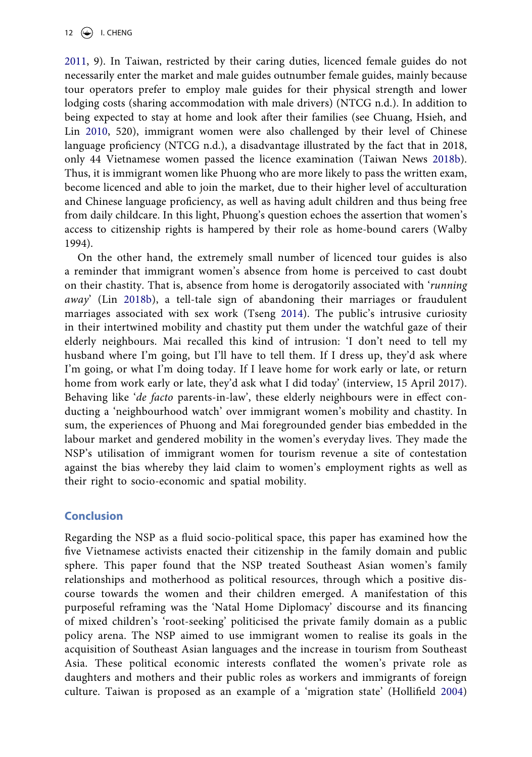<span id="page-12-2"></span><span id="page-12-0"></span>[2011](#page-17-15), 9). In Taiwan, restricted by their caring duties, licenced female guides do not necessarily enter the market and male guides outnumber female guides, mainly because tour operators prefer to employ male guides for their physical strength and lower lodging costs (sharing accommodation with male drivers) (NTCG n.d.). In addition to being expected to stay at home and look after their families (see Chuang, Hsieh, and Lin [2010,](#page-14-14) 520), immigrant women were also challenged by their level of Chinese language proficiency (NTCG n.d.), a disadvantage illustrated by the fact that in 2018, only 44 Vietnamese women passed the licence examination (Taiwan News [2018b](#page-17-16)). Thus, it is immigrant women like Phuong who are more likely to pass the written exam, become licenced and able to join the market, due to their higher level of acculturation and Chinese language proficiency, as well as having adult children and thus being free from daily childcare. In this light, Phuong's question echoes the assertion that women's access to citizenship rights is hampered by their role as home-bound carers (Walby 1994).

On the other hand, the extremely small number of licenced tour guides is also a reminder that immigrant women's absence from home is perceived to cast doubt on their chastity. That is, absence from home is derogatorily associated with '*running away*' (Lin [2018b\)](#page-16-4), a tell-tale sign of abandoning their marriages or fraudulent marriages associated with sex work (Tseng [2014](#page-17-11)). The public's intrusive curiosity in their intertwined mobility and chastity put them under the watchful gaze of their elderly neighbours. Mai recalled this kind of intrusion: 'I don't need to tell my husband where I'm going, but I'll have to tell them. If I dress up, they'd ask where I'm going, or what I'm doing today. If I leave home for work early or late, or return home from work early or late, they'd ask what I did today' (interview, 15 April 2017). Behaving like '*de facto* parents-in-law', these elderly neighbours were in effect conducting a 'neighbourhood watch' over immigrant women's mobility and chastity. In sum, the experiences of Phuong and Mai foregrounded gender bias embedded in the labour market and gendered mobility in the women's everyday lives. They made the NSP's utilisation of immigrant women for tourism revenue a site of contestation against the bias whereby they laid claim to women's employment rights as well as their right to socio-economic and spatial mobility.

#### **Conclusion**

<span id="page-12-1"></span>Regarding the NSP as a fluid socio-political space, this paper has examined how the five Vietnamese activists enacted their citizenship in the family domain and public sphere. This paper found that the NSP treated Southeast Asian women's family relationships and motherhood as political resources, through which a positive discourse towards the women and their children emerged. A manifestation of this purposeful reframing was the 'Natal Home Diplomacy' discourse and its financing of mixed children's 'root-seeking' politicised the private family domain as a public policy arena. The NSP aimed to use immigrant women to realise its goals in the acquisition of Southeast Asian languages and the increase in tourism from Southeast Asia. These political economic interests conflated the women's private role as daughters and mothers and their public roles as workers and immigrants of foreign culture. Taiwan is proposed as an example of a 'migration state' (Hollifield [2004\)](#page-15-20)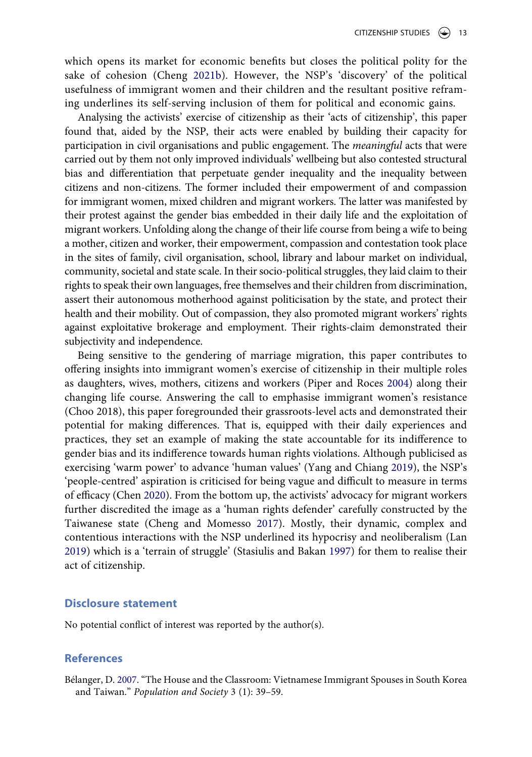<span id="page-13-2"></span>which opens its market for economic benefits but closes the political polity for the sake of cohesion (Cheng [2021b](#page-14-15)). However, the NSP's 'discovery' of the political usefulness of immigrant women and their children and the resultant positive reframing underlines its self-serving inclusion of them for political and economic gains.

Analysing the activists' exercise of citizenship as their 'acts of citizenship', this paper found that, aided by the NSP, their acts were enabled by building their capacity for participation in civil organisations and public engagement. The *meaningful* acts that were carried out by them not only improved individuals' wellbeing but also contested structural bias and differentiation that perpetuate gender inequality and the inequality between citizens and non-citizens. The former included their empowerment of and compassion for immigrant women, mixed children and migrant workers. The latter was manifested by their protest against the gender bias embedded in their daily life and the exploitation of migrant workers. Unfolding along the change of their life course from being a wife to being a mother, citizen and worker, their empowerment, compassion and contestation took place in the sites of family, civil organisation, school, library and labour market on individual, community, societal and state scale. In their socio-political struggles, they laid claim to their rights to speak their own languages, free themselves and their children from discrimination, assert their autonomous motherhood against politicisation by the state, and protect their health and their mobility. Out of compassion, they also promoted migrant workers' rights against exploitative brokerage and employment. Their rights-claim demonstrated their subjectivity and independence.

<span id="page-13-6"></span><span id="page-13-4"></span>Being sensitive to the gendering of marriage migration, this paper contributes to offering insights into immigrant women's exercise of citizenship in their multiple roles as daughters, wives, mothers, citizens and workers (Piper and Roces [2004](#page-17-17)) along their changing life course. Answering the call to emphasise immigrant women's resistance (Choo 2018), this paper foregrounded their grassroots-level acts and demonstrated their potential for making differences. That is, equipped with their daily experiences and practices, they set an example of making the state accountable for its indifference to gender bias and its indifference towards human rights violations. Although publicised as exercising 'warm power' to advance 'human values' (Yang and Chiang [2019](#page-17-18)), the NSP's 'people-centred' aspiration is criticised for being vague and difficult to measure in terms of efficacy (Chen [2020\)](#page-14-16). From the bottom up, the activists' advocacy for migrant workers further discredited the image as a 'human rights defender' carefully constructed by the Taiwanese state (Cheng and Momesso [2017](#page-14-17)). Mostly, their dynamic, complex and contentious interactions with the NSP underlined its hypocrisy and neoliberalism (Lan [2019](#page-16-1)) which is a 'terrain of struggle' (Stasiulis and Bakan [1997](#page-17-19)) for them to realise their act of citizenship.

#### <span id="page-13-5"></span><span id="page-13-3"></span><span id="page-13-1"></span>**Disclosure statement**

No potential conflict of interest was reported by the author(s).

#### **References**

<span id="page-13-0"></span>Bélanger, D. [2007.](#page-3-0) "The House and the Classroom: Vietnamese Immigrant Spouses in South Korea and Taiwan." *Population and Society* 3 (1): 39–59.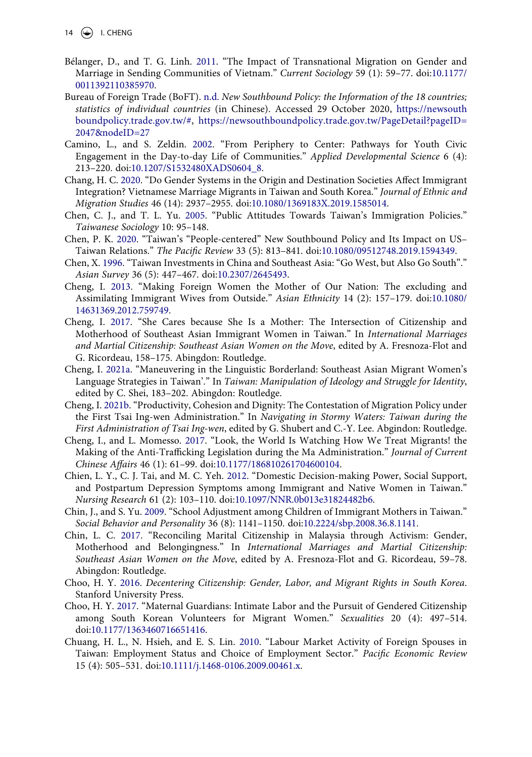- <span id="page-14-1"></span>Bélanger, D., and T. G. Linh. [2011](#page-2-0). "The Impact of Transnational Migration on Gender and Marriage in Sending Communities of Vietnam." *Current Sociology* 59 (1): 59–77. doi:[10.1177/](https://doi.org/10.1177/0011392110385970) [0011392110385970.](https://doi.org/10.1177/0011392110385970)
- <span id="page-14-11"></span>Bureau of Foreign Trade (BoFT). [n.d.](#page-6-0) *New Southbound Policy: the Information of the 18 countries; statistics of individual countries* (in Chinese). Accessed 29 October 2020, [https://newsouth](https://newsouthboundpolicy.trade.gov.tw/#) [boundpolicy.trade.gov.tw/#,](https://newsouthboundpolicy.trade.gov.tw/#) [https://newsouthboundpolicy.trade.gov.tw/PageDetail?pageID=](https://newsouthboundpolicy.trade.gov.tw/PageDetail?pageID=2047%26nodeID=27) [2047&nodeID=27](https://newsouthboundpolicy.trade.gov.tw/PageDetail?pageID=2047%26nodeID=27)
- <span id="page-14-12"></span>Camino, L., and S. Zeldin. [2002.](#page-10-0) "From Periphery to Center: Pathways for Youth Civic Engagement in the Day-to-day Life of Communities." *Applied Developmental Science* 6 (4): 213–220. doi:[10.1207/S1532480XADS0604\\_8.](https://doi.org/10.1207/S1532480XADS0604_8)
- <span id="page-14-7"></span>Chang, H. C. [2020](#page-3-1). "Do Gender Systems in the Origin and Destination Societies Affect Immigrant Integration? Vietnamese Marriage Migrants in Taiwan and South Korea." *Journal of Ethnic and Migration Studies* 46 (14): 2937–2955. doi:[10.1080/1369183X.2019.1585014.](https://doi.org/10.1080/1369183X.2019.1585014)
- <span id="page-14-0"></span>Chen, C. J., and T. L. Yu. [2005](#page-2-1). "Public Attitudes Towards Taiwan's Immigration Policies." *Taiwanese Sociology* 10: 95–148.
- <span id="page-14-16"></span>Chen, P. K. [2020](#page-13-1). "Taiwan's "People-centered" New Southbound Policy and Its Impact on US– Taiwan Relations." *The Pacific Review* 33 (5): 813–841. doi:[10.1080/09512748.2019.1594349.](https://doi.org/10.1080/09512748.2019.1594349)
- <span id="page-14-10"></span>Chen, X. [1996](#page-6-1). "Taiwan Investments in China and Southeast Asia: "Go West, but Also Go South"." *Asian Survey* 36 (5): 447–467. doi:[10.2307/2645493](https://doi.org/10.2307/2645493).
- <span id="page-14-2"></span>Cheng, I. [2013](#page-3-2). "Making Foreign Women the Mother of Our Nation: The excluding and Assimilating Immigrant Wives from Outside." *Asian Ethnicity* 14 (2): 157–179. doi:[10.1080/](https://doi.org/10.1080/14631369.2012.759749) [14631369.2012.759749](https://doi.org/10.1080/14631369.2012.759749).
- <span id="page-14-4"></span>Cheng, I. [2017.](#page-3-3) "She Cares because She Is a Mother: The Intersection of Citizenship and Motherhood of Southeast Asian Immigrant Women in Taiwan." In *International Marriages and Martial Citizenship: Southeast Asian Women on the Move*, edited by A. Fresnoza-Flot and G. Ricordeau, 158–175. Abingdon: Routledge.
- <span id="page-14-9"></span>Cheng, I. [2021a.](#page-5-0) "Maneuvering in the Linguistic Borderland: Southeast Asian Migrant Women's Language Strategies in Taiwan'." In *Taiwan: Manipulation of Ideology and Struggle for Identity*, edited by C. Shei, 183–202. Abingdon: Routledge.
- <span id="page-14-15"></span>Cheng, I. [2021b.](#page-13-2) "Productivity, Cohesion and Dignity: The Contestation of Migration Policy under the First Tsai Ing-wen Administration." In *Navigating in Stormy Waters: Taiwan during the First Administration of Tsai Ing-wen*, edited by G. Shubert and C.-Y. Lee. Abgindon: Routledge.
- <span id="page-14-17"></span>Cheng, I., and L. Momesso. [2017](#page-13-3). "Look, the World Is Watching How We Treat Migrants! the Making of the Anti-Trafficking Legislation during the Ma Administration." *Journal of Current Chinese Affairs* 46 (1): 61–99. doi:[10.1177/186810261704600104.](https://doi.org/10.1177/186810261704600104)
- <span id="page-14-13"></span>Chien, L. Y., C. J. Tai, and M. C. Yeh. [2012.](#page-11-0) "Domestic Decision-making Power, Social Support, and Postpartum Depression Symptoms among Immigrant and Native Women in Taiwan." *Nursing Research* 61 (2): 103–110. doi:[10.1097/NNR.0b013e31824482b6.](https://doi.org/10.1097/NNR.0b013e31824482b6)
- <span id="page-14-8"></span>Chin, J., and S. Yu. [2009](#page-5-1). "School Adjustment among Children of Immigrant Mothers in Taiwan." *Social Behavior and Personality* 36 (8): 1141–1150. doi:[10.2224/sbp.2008.36.8.1141](https://doi.org/10.2224/sbp.2008.36.8.1141).
- <span id="page-14-3"></span>Chin, L. C. [2017](#page-3-4). "Reconciling Marital Citizenship in Malaysia through Activism: Gender, Motherhood and Belongingness." In *International Marriages and Martial Citizenship: Southeast Asian Women on the Move*, edited by A. Fresnoza-Flot and G. Ricordeau, 59–78. Abingdon: Routledge.
- <span id="page-14-5"></span>Choo, H. Y. [2016.](#page-3-5) *Decentering Citizenship: Gender, Labor, and Migrant Rights in South Korea*. Stanford University Press.
- <span id="page-14-6"></span>Choo, H. Y. [2017.](#page-3-6) "Maternal Guardians: Intimate Labor and the Pursuit of Gendered Citizenship among South Korean Volunteers for Migrant Women." *Sexualities* 20 (4): 497–514. doi:[10.1177/1363460716651416](https://doi.org/10.1177/1363460716651416).
- <span id="page-14-14"></span>Chuang, H. L., N. Hsieh, and E. S. Lin. [2010](#page-12-0). "Labour Market Activity of Foreign Spouses in Taiwan: Employment Status and Choice of Employment Sector." *Pacific Economic Review*  15 (4): 505–531. doi:[10.1111/j.1468-0106.2009.00461.x.](https://doi.org/10.1111/j.1468-0106.2009.00461.x)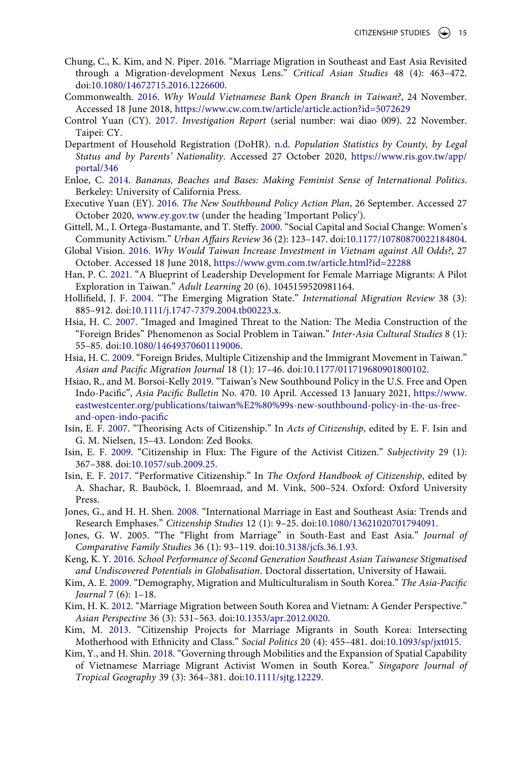- Chung, C., K. Kim, and N. Piper. 2016. "Marriage Migration in Southeast and East Asia Revisited through a Migration-development Nexus Lens." *Critical Asian Studies* 48 (4): 463–472. doi:[10.1080/14672715.2016.1226600](https://doi.org/10.1080/14672715.2016.1226600).
- <span id="page-15-14"></span>Commonwealth. [2016.](#page-6-2) *Why Would Vietnamese Bank Open Branch in Taiwan?*, 24 November. Accessed 18 June 2018, <https://www.cw.com.tw/article/article.action?id=5072629>
- <span id="page-15-17"></span>Control Yuan (CY). [2017](#page-7-0). *Investigation Report* (serial number: wai diao 009). 22 November. Taipei: CY.
- <span id="page-15-10"></span>Department of Household Registration (DoHR). [n.d.](#page-5-2) *Population Statistics by County, by Legal Status and by Parents' Nationality*. Accessed 27 October 2020, [https://www.ris.gov.tw/app/](https://www.ris.gov.tw/app/portal/346) [portal/346](https://www.ris.gov.tw/app/portal/346)
- <span id="page-15-0"></span>Enloe, C. [2014](#page-1-0). *Bananas, Beaches and Bases: Making Feminist Sense of International Politics*. Berkeley: University of California Press.
- <span id="page-15-16"></span>Executive Yuan (EY). [2016.](#page-6-3) *The New Southbound Policy Action Plan*, 26 September. Accessed 27 October 2020, [www.ey.gov.tw](http://www.ey.gov.tw) (under the heading 'Important Policy').
- <span id="page-15-18"></span>Gittell, M., I. Ortega-Bustamante, and T. Steffy. [2000.](#page-7-1) "Social Capital and Social Change: Women's Community Activism." *Urban Affairs Review* 36 (2): 123–147. doi:[10.1177/10780870022184804](https://doi.org/10.1177/10780870022184804).
- <span id="page-15-15"></span>Global Vision. [2016.](#page-6-2) *Why Would Taiwan Increase Investment in Vietnam against All Odds?*, 27 October. Accessed 18 June 2018, <https://www.gvm.com.tw/article.html?id=22288>
- <span id="page-15-19"></span>Han, P. C. [2021.](#page-8-0) "A Blueprint of Leadership Development for Female Marriage Migrants: A Pilot Exploration in Taiwan." *Adult Learning* 20 (6). 1045159520981164.
- <span id="page-15-20"></span>Hollifield, J. F. [2004](#page-12-1). "The Emerging Migration State." *International Migration Review* 38 (3): 885–912. doi:[10.1111/j.1747-7379.2004.tb00223.x.](https://doi.org/10.1111/j.1747-7379.2004.tb00223.x)
- <span id="page-15-11"></span>Hsia, H. C. [2007](#page-5-3). "Imaged and Imagined Threat to the Nation: The Media Construction of the "Foreign Brides" Phenomenon as Social Problem in Taiwan." *Inter-Asia Cultural Studies* 8 (1): 55–85. doi:[10.1080/14649370601119006.](https://doi.org/10.1080/14649370601119006)
- <span id="page-15-1"></span>Hsia, H. C. [2009](#page-2-2). "Foreign Brides, Multiple Citizenship and the Immigrant Movement in Taiwan." *Asian and Pacific Migration Journal* 18 (1): 17–46. doi:[10.1177/011719680901800102.](https://doi.org/10.1177/011719680901800102)
- <span id="page-15-13"></span>Hsiao, R., and M. Borsoi-Kelly [2019](#page-6-4). "Taiwan's New Southbound Policy in the U.S. Free and Open Indo-Pacific", *Asia Pacific Bulletin* No. 470. 10 April. Accessed 13 January 2021, [https://www.](https://www.eastwestcenter.org/publications/taiwan%E2%80%99s-new-southbound-policy-in-the-us-free-and-open-indo-pacific) [eastwestcenter.org/publications/taiwan%E2%80%99s-new-southbound-policy-in-the-us-free](https://www.eastwestcenter.org/publications/taiwan%E2%80%99s-new-southbound-policy-in-the-us-free-and-open-indo-pacific)[and-open-indo-pacific](https://www.eastwestcenter.org/publications/taiwan%E2%80%99s-new-southbound-policy-in-the-us-free-and-open-indo-pacific)
- <span id="page-15-2"></span>Isin, E. F. [2007](#page-2-3). "Theorising Acts of Citizenship." In *Acts of Citizenship*, edited by E. F. Isin and G. M. Nielsen, 15–43. London: Zed Books.
- <span id="page-15-3"></span>Isin, E. F. [2009](#page-2-3). "Citizenship in Flux: The Figure of the Activist Citizen." *Subjectivity* 29 (1): 367–388. doi:[10.1057/sub.2009.25](https://doi.org/10.1057/sub.2009.25).
- <span id="page-15-4"></span>Isin, E. F. [2017.](#page-2-3) "Performative Citizenship." In *The Oxford Handbook of Citizenship*, edited by A. Shachar, R. Bauböck, I. Bloemraad, and M. Vink, 500–524. Oxford: Oxford University Press.
- <span id="page-15-5"></span>Jones, G., and H. H. Shen. [2008](#page-2-4). "International Marriage in East and Southeast Asia: Trends and Research Emphases." *Citizenship Studies* 12 (1): 9–25. doi:[10.1080/13621020701794091](https://doi.org/10.1080/13621020701794091).
- Jones, G. W. 2005. "The "Flight from Marriage" in South-East and East Asia." *Journal of Comparative Family Studies* 36 (1): 93–119. doi:[10.3138/jcfs.36.1.93.](https://doi.org/10.3138/jcfs.36.1.93)
- <span id="page-15-12"></span>Keng, K. Y. [2016](#page-5-4). *School Performance of Second Generation Southeast Asian Taiwanese Stigmatised and Undiscovered Potentials in Globalisation*. Doctoral dissertation, University of Hawaii.
- <span id="page-15-7"></span>Kim, A. E. [2009.](#page-3-0) "Demography, Migration and Multiculturalism in South Korea." *The Asia-Pacific Journal* 7 (6): 1–18.
- <span id="page-15-6"></span>Kim, H. K. [2012](#page-2-0). "Marriage Migration between South Korea and Vietnam: A Gender Perspective." *Asian Perspective* 36 (3): 531–563. doi:[10.1353/apr.2012.0020](https://doi.org/10.1353/apr.2012.0020).
- <span id="page-15-8"></span>Kim, M. [2013](#page-3-2). "Citizenship Projects for Marriage Migrants in South Korea: Intersecting Motherhood with Ethnicity and Class." *Social Politics* 20 (4): 455–481. doi:[10.1093/sp/jxt015.](https://doi.org/10.1093/sp/jxt015)
- <span id="page-15-9"></span>Kim, Y., and H. Shin. [2018](#page-3-7). "Governing through Mobilities and the Expansion of Spatial Capability of Vietnamese Marriage Migrant Activist Women in South Korea." *Singapore Journal of Tropical Geography* 39 (3): 364–381. doi:[10.1111/sjtg.12229.](https://doi.org/10.1111/sjtg.12229)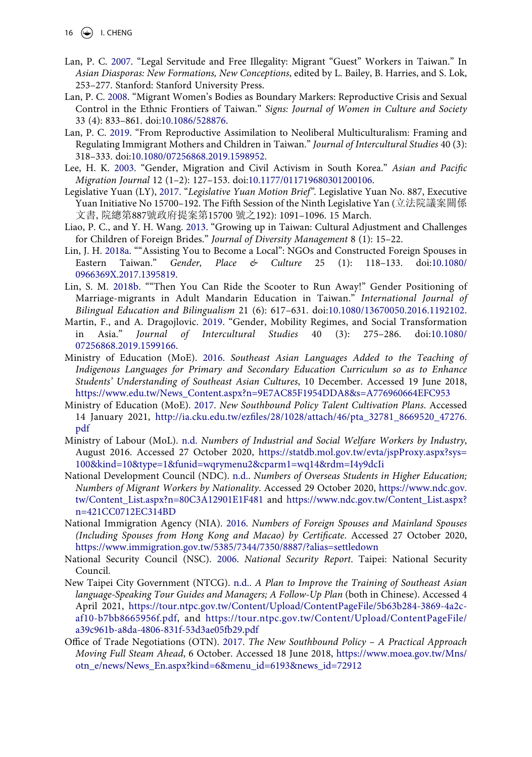16  $\left(\bigoplus$  I. CHENG

- <span id="page-16-14"></span>Lan, P. C. [2007](#page-10-1). "Legal Servitude and Free Illegality: Migrant "Guest" Workers in Taiwan." In *Asian Diasporas: New Formations, New Conceptions*, edited by L. Bailey, B. Harries, and S. Lok, 253–277. Stanford: Stanford University Press.
- <span id="page-16-15"></span>Lan, P. C. [2008](#page-11-1). "Migrant Women's Bodies as Boundary Markers: Reproductive Crisis and Sexual Control in the Ethnic Frontiers of Taiwan." *Signs: Journal of Women in Culture and Society*  33 (4): 833–861. doi:[10.1086/528876](https://doi.org/10.1086/528876).
- <span id="page-16-1"></span>Lan, P. C. [2019](#page-3-2). "From Reproductive Assimilation to Neoliberal Multiculturalism: Framing and Regulating Immigrant Mothers and Children in Taiwan." *Journal of Intercultural Studies* 40 (3): 318–333. doi:[10.1080/07256868.2019.1598952](https://doi.org/10.1080/07256868.2019.1598952).
- <span id="page-16-2"></span>Lee, H. K. [2003](#page-3-8). "Gender, Migration and Civil Activism in South Korea." *Asian and Pacific Migration Journal* 12 (1–2): 127–153. doi:[10.1177/011719680301200106](https://doi.org/10.1177/011719680301200106).
- <span id="page-16-12"></span>Legislative Yuan (LY), [2017](#page-7-2). "*Legislative Yuan Motion Brief"*. Legislative Yuan No. 887, Executive Yuan Initiative No 15700–192. The Fifth Session of the Ninth Legislative Yan (立法院議案關係 文書, 院總第887號政府提案第15700 號之192): 1091–1096. 15 March.
- <span id="page-16-6"></span>Liao, P. C., and Y. H. Wang. [2013.](#page-6-5) "Growing up in Taiwan: Cultural Adjustment and Challenges for Children of Foreign Brides." *Journal of Diversity Management* 8 (1): 15–22.
- <span id="page-16-3"></span>Lin, J. H. [2018a.](#page-3-5) ""Assisting You to Become a Local": NGOs and Constructed Foreign Spouses in Eastern Taiwan." *Gender, Place & Culture* 25 (1): 118–133. doi:[10.1080/](https://doi.org/10.1080/0966369X.2017.1395819) [0966369X.2017.1395819.](https://doi.org/10.1080/0966369X.2017.1395819)
- <span id="page-16-4"></span>Lin, S. M. [2018b.](#page-3-6) ""Then You Can Ride the Scooter to Run Away!" Gender Positioning of Marriage-migrants in Adult Mandarin Education in Taiwan." *International Journal of Bilingual Education and Bilingualism* 21 (6): 617–631. doi:[10.1080/13670050.2016.1192102.](https://doi.org/10.1080/13670050.2016.1192102)
- <span id="page-16-16"></span>Martin, F., and A. Dragojlovic. [2019](#page-11-2). "Gender, Mobility Regimes, and Social Transformation in Asia." *Journal of Intercultural Studies* 40 (3): 275–286. doi:[10.1080/](https://doi.org/10.1080/07256868.2019.1599166) [07256868.2019.1599166.](https://doi.org/10.1080/07256868.2019.1599166)
- <span id="page-16-10"></span>Ministry of Education (MoE). [2016.](#page-6-6) *Southeast Asian Languages Added to the Teaching of Indigenous Languages for Primary and Secondary Education Curriculum so as to Enhance Students' Understanding of Southeast Asian Cultures*, 10 December. Accessed 19 June 2018, [https://www.edu.tw/News\\_Content.aspx?n=9E7AC85F1954DDA8&s=A776960664EFC953](https://www.edu.tw/News_Content.aspx?n=9E7AC85F1954DDA8%26s=A776960664EFC953)
- <span id="page-16-11"></span>Ministry of Education (MoE). [2017](#page-7-3). *New Southbound Policy Talent Cultivation Plans*. Accessed 14 January 2021, [http://ia.cku.edu.tw/ezfiles/28/1028/attach/46/pta\\_32781\\_8669520\\_47276.](http://ia.cku.edu.tw/ezfiles/28/1028/attach/46/pta_32781_8669520_47276.pdf) [pdf](http://ia.cku.edu.tw/ezfiles/28/1028/attach/46/pta_32781_8669520_47276.pdf)
- <span id="page-16-13"></span>Ministry of Labour (MoL). [n.d.](#page-10-2) *Numbers of Industrial and Social Welfare Workers by Industry*, August 2016. Accessed 27 October 2020, [https://statdb.mol.gov.tw/evta/jspProxy.aspx?sys=](https://statdb.mol.gov.tw/evta/jspProxy.aspx?sys=100%26kind=10%26type=1%26funid=wqrymenu2%26cparm1=wq14%26rdm=I4y9dcIi) [100&kind=10&type=1&funid=wqrymenu2&cparm1=wq14&rdm=I4y9dcIi](https://statdb.mol.gov.tw/evta/jspProxy.aspx?sys=100%26kind=10%26type=1%26funid=wqrymenu2%26cparm1=wq14%26rdm=I4y9dcIi)
- <span id="page-16-9"></span>National Development Council (NDC). [n.d.](#page-6-7). *Numbers of Overseas Students in Higher Education; Numbers of Migrant Workers by Nationality*. Accessed 29 October 2020, [https://www.ndc.gov.](https://www.ndc.gov.tw/Content_List.aspx?n=80C3A12901E1F481) [tw/Content\\_List.aspx?n=80C3A12901E1F481](https://www.ndc.gov.tw/Content_List.aspx?n=80C3A12901E1F481) and [https://www.ndc.gov.tw/Content\\_List.aspx?](https://www.ndc.gov.tw/Content_List.aspx?n=421CC0712EC314BD) [n=421CC0712EC314BD](https://www.ndc.gov.tw/Content_List.aspx?n=421CC0712EC314BD)
- <span id="page-16-5"></span>National Immigration Agency (NIA). [2016](#page-5-5). *Numbers of Foreign Spouses and Mainland Spouses (Including Spouses from Hong Kong and Macao) by Certificate*. Accessed 27 October 2020, <https://www.immigration.gov.tw/5385/7344/7350/8887/?alias=settledown>
- <span id="page-16-0"></span>National Security Council (NSC). [2006.](#page-1-1) *National Security Report*. Taipei: National Security Council.
- <span id="page-16-8"></span>New Taipei City Government (NTCG). [n.d.](#page-6-8). *A Plan to Improve the Training of Southeast Asian*  language-Speaking Tour Guides and Managers; A Follow-Up Plan (both in Chinese). Accessed 4 April 2021, [https://tour.ntpc.gov.tw/Content/Upload/ContentPageFile/5b63b284-3869-4a2c](https://tour.ntpc.gov.tw/Content/Upload/ContentPageFile/5b63b284-3869-4a2c-af10-b7bb8665956f.pdf)[af10-b7bb8665956f.pdf](https://tour.ntpc.gov.tw/Content/Upload/ContentPageFile/5b63b284-3869-4a2c-af10-b7bb8665956f.pdf), and [https://tour.ntpc.gov.tw/Content/Upload/ContentPageFile/](https://tour.ntpc.gov.tw/Content/Upload/ContentPageFile/a39c961b-a8da-4806-831f-53d3ae05fb29.pdf) [a39c961b-a8da-4806-831f-53d3ae05fb29.pdf](https://tour.ntpc.gov.tw/Content/Upload/ContentPageFile/a39c961b-a8da-4806-831f-53d3ae05fb29.pdf)
- <span id="page-16-7"></span>Office of Trade Negotiations (OTN). [2017.](#page-6-9) *The New Southbound Policy – A Practical Approach Moving Full Steam Ahead*, 6 October. Accessed 18 June 2018, [https://www.moea.gov.tw/Mns/](https://www.moea.gov.tw/Mns/otn_e/news/News_En.aspx?kind=6%26menu_id=6193%26news_id=72912) [otn\\_e/news/News\\_En.aspx?kind=6&menu\\_id=6193&news\\_id=72912](https://www.moea.gov.tw/Mns/otn_e/news/News_En.aspx?kind=6%26menu_id=6193%26news_id=72912)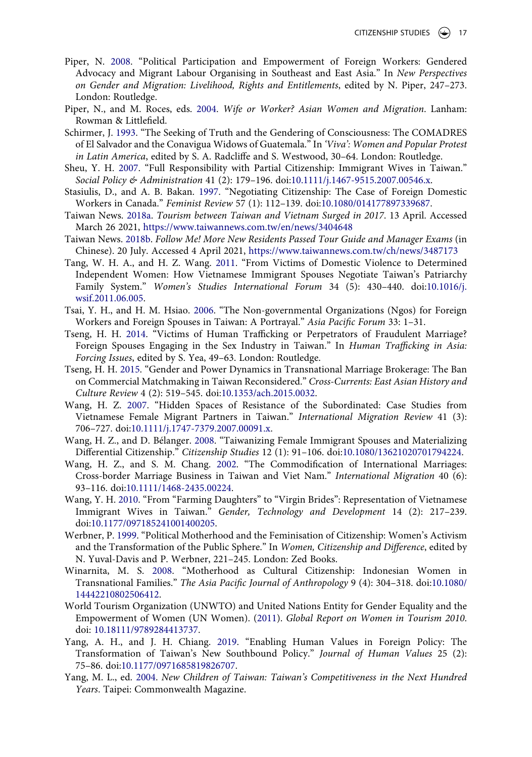- <span id="page-17-0"></span>Piper, N. [2008.](#page-2-5) "Political Participation and Empowerment of Foreign Workers: Gendered Advocacy and Migrant Labour Organising in Southeast and East Asia." In *New Perspectives on Gender and Migration: Livelihood, Rights and Entitlements*, edited by N. Piper, 247–273. London: Routledge.
- <span id="page-17-17"></span>Piper, N., and M. Roces, eds. [2004.](#page-13-4) *Wife or Worker? Asian Women and Migration*. Lanham: Rowman & Littlefield.
- <span id="page-17-3"></span>Schirmer, J. [1993.](#page-3-9) "The Seeking of Truth and the Gendering of Consciousness: The COMADRES of El Salvador and the Conavigua Widows of Guatemala." In *'Viva': Women and Popular Protest in Latin America*, edited by S. A. Radcliffe and S. Westwood, 30–64. London: Routledge.
- <span id="page-17-1"></span>Sheu, Y. H. [2007](#page-3-0). "Full Responsibility with Partial Citizenship: Immigrant Wives in Taiwan." *Social Policy & Administration* 41 (2): 179–196. doi:[10.1111/j.1467-9515.2007.00546.x](https://doi.org/10.1111/j.1467-9515.2007.00546.x).
- <span id="page-17-19"></span>Stasiulis, D., and A. B. Bakan. [1997.](#page-13-5) "Negotiating Citizenship: The Case of Foreign Domestic Workers in Canada." *Feminist Review* 57 (1): 112–139. doi:[10.1080/014177897339687](https://doi.org/10.1080/014177897339687).
- <span id="page-17-14"></span>Taiwan News. [2018a](#page-6-8). *Tourism between Taiwan and Vietnam Surged in 2017*. 13 April. Accessed March 26 2021, <https://www.taiwannews.com.tw/en/news/3404648>
- <span id="page-17-16"></span>Taiwan News. [2018b.](#page-12-2) *Follow Me! More New Residents Passed Tour Guide and Manager Exams* (in Chinese). 20 July. Accessed 4 April 2021, <https://www.taiwannews.com.tw/ch/news/3487173>
- <span id="page-17-12"></span>Tang, W. H. A., and H. Z. Wang. [2011](#page-5-6). "From Victims of Domestic Violence to Determined Independent Women: How Vietnamese Immigrant Spouses Negotiate Taiwan's Patriarchy Family System." *Women's Studies International Forum* 34 (5): 430–440. doi:[10.1016/j.](https://doi.org/10.1016/j.wsif.2011.06.005) [wsif.2011.06.005.](https://doi.org/10.1016/j.wsif.2011.06.005)
- <span id="page-17-6"></span>Tsai, Y. H., and H. M. Hsiao. [2006](#page-3-5). "The Non-governmental Organizations (Ngos) for Foreign Workers and Foreign Spouses in Taiwan: A Portrayal." *Asia Pacific Forum* 33: 1–31.
- <span id="page-17-11"></span>Tseng, H. H. [2014](#page-5-6). "Victims of Human Trafficking or Perpetrators of Fraudulent Marriage? Foreign Spouses Engaging in the Sex Industry in Taiwan." In *Human Trafficking in Asia: Forcing Issues*, edited by S. Yea, 49–63. London: Routledge.
- <span id="page-17-9"></span>Tseng, H. H. [2015.](#page-5-7) "Gender and Power Dynamics in Transnational Marriage Brokerage: The Ban on Commercial Matchmaking in Taiwan Reconsidered." *Cross-Currents: East Asian History and Culture Review* 4 (2): 519–545. doi:[10.1353/ach.2015.0032](https://doi.org/10.1353/ach.2015.0032).
- <span id="page-17-8"></span>Wang, H. Z. [2007](#page-5-6). "Hidden Spaces of Resistance of the Subordinated: Case Studies from Vietnamese Female Migrant Partners in Taiwan." *International Migration Review* 41 (3): 706–727. doi:[10.1111/j.1747-7379.2007.00091.x.](https://doi.org/10.1111/j.1747-7379.2007.00091.x)
- <span id="page-17-2"></span>Wang, H. Z., and D. Bélanger. [2008.](#page-3-0) "Taiwanizing Female Immigrant Spouses and Materializing Differential Citizenship." *Citizenship Studies* 12 (1): 91–106. doi:[10.1080/13621020701794224](https://doi.org/10.1080/13621020701794224).
- <span id="page-17-7"></span>Wang, H. Z., and S. M. Chang. [2002](#page-5-7). "The Commodification of International Marriages: Cross-border Marriage Business in Taiwan and Viet Nam." *International Migration* 40 (6): 93–116. doi:[10.1111/1468-2435.00224.](https://doi.org/10.1111/1468-2435.00224)
- <span id="page-17-10"></span>Wang, Y. H. [2010](#page-5-8). "From "Farming Daughters" to "Virgin Brides": Representation of Vietnamese Immigrant Wives in Taiwan." *Gender, Technology and Development* 14 (2): 217–239. doi:[10.1177/097185241001400205](https://doi.org/10.1177/097185241001400205).
- <span id="page-17-4"></span>Werbner, P. [1999.](#page-3-10) "Political Motherhood and the Feminisation of Citizenship: Women's Activism and the Transformation of the Public Sphere." In *Women, Citizenship and Difference*, edited by N. Yuval-Davis and P. Werbner, 221–245. London: Zed Books.
- <span id="page-17-5"></span>Winarnita, M. S. [2008.](#page-3-11) "Motherhood as Cultural Citizenship: Indonesian Women in Transnational Families." *The Asia Pacific Journal of Anthropology* 9 (4): 304–318. doi:[10.1080/](https://doi.org/10.1080/14442210802506412) [14442210802506412.](https://doi.org/10.1080/14442210802506412)
- <span id="page-17-15"></span>World Tourism Organization (UNWTO) and United Nations Entity for Gender Equality and the Empowerment of Women (UN Women). [\(2011\)](#page-11-3). *Global Report on Women in Tourism 2010*. doi: [10.18111/9789284413737.](https://doi.org/10.18111/9789284413737)
- <span id="page-17-18"></span>Yang, A. H., and J. H. Chiang. [2019.](#page-13-6) "Enabling Human Values in Foreign Policy: The Transformation of Taiwan's New Southbound Policy." *Journal of Human Values* 25 (2): 75–86. doi:[10.1177/0971685819826707](https://doi.org/10.1177/0971685819826707).
- <span id="page-17-13"></span>Yang, M. L., ed. [2004](#page-5-9). *New Children of Taiwan: Taiwan's Competitiveness in the Next Hundred Years*. Taipei: Commonwealth Magazine.